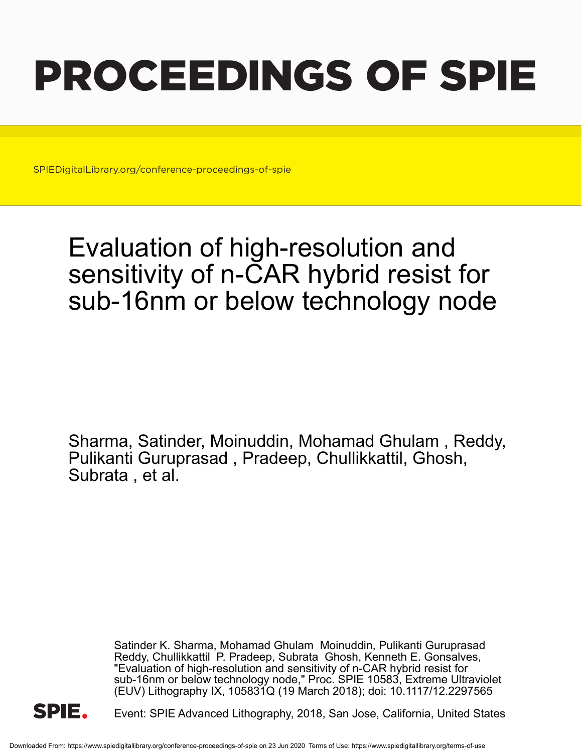# PROCEEDINGS OF SPIE

SPIEDigitalLibrary.org/conference-proceedings-of-spie

## Evaluation of high-resolution and sensitivity of n-CAR hybrid resist for sub-16nm or below technology node

Sharma, Satinder, Moinuddin, Mohamad Ghulam , Reddy, Pulikanti Guruprasad , Pradeep, Chullikkattil, Ghosh, Subrata , et al.

> Satinder K. Sharma, Mohamad Ghulam Moinuddin, Pulikanti Guruprasad Reddy, Chullikkattil P. Pradeep, Subrata Ghosh, Kenneth E. Gonsalves, "Evaluation of high-resolution and sensitivity of n-CAR hybrid resist for sub-16nm or below technology node," Proc. SPIE 10583, Extreme Ultraviolet (EUV) Lithography IX, 105831Q (19 March 2018); doi: 10.1117/12.2297565



Event: SPIE Advanced Lithography, 2018, San Jose, California, United States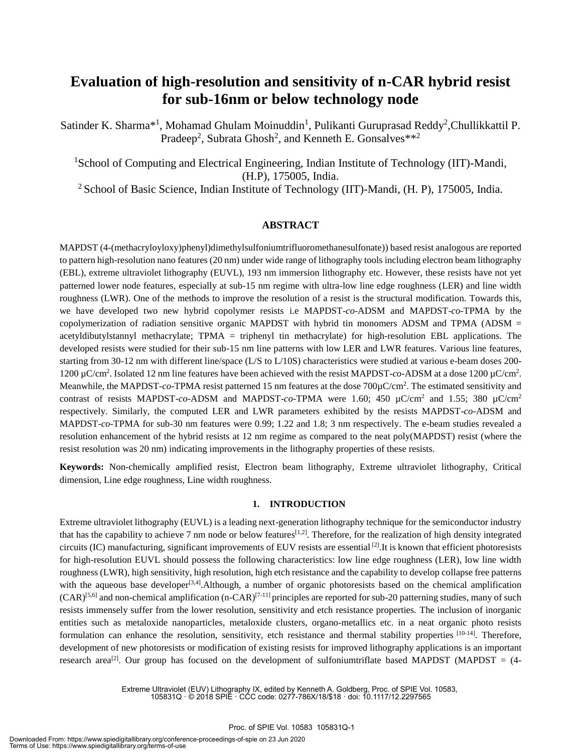### **Evaluation of high-resolution and sensitivity of n-CAR hybrid resist for sub-16nm or below technology node**

Satinder K. Sharma<sup>\*1</sup>, Mohamad Ghulam Moinuddin<sup>1</sup>, Pulikanti Guruprasad Reddy<sup>2</sup>, Chullikkattil P. Pradeep<sup>2</sup>, Subrata Ghosh<sup>2</sup>, and Kenneth E. Gonsalves\*\*<sup>2</sup>

<sup>1</sup>School of Computing and Electrical Engineering, Indian Institute of Technology (IIT)-Mandi, (H.P), 175005, India.

<sup>2</sup> School of Basic Science, Indian Institute of Technology (IIT)-Mandi, (H. P), 175005, India.

#### **ABSTRACT**

MAPDST (4-(methacryloyloxy)phenyl)dimethylsulfoniumtrifluoromethanesulfonate)) based resist analogous are reported to pattern high-resolution nano features (20 nm) under wide range of lithography tools including electron beam lithography (EBL), extreme ultraviolet lithography (EUVL), 193 nm immersion lithography etc. However, these resists have not yet patterned lower node features, especially at sub-15 nm regime with ultra-low line edge roughness (LER) and line width roughness (LWR). One of the methods to improve the resolution of a resist is the structural modification. Towards this, we have developed two new hybrid copolymer resists i.e MAPDST-*co*-ADSM and MAPDST-*co*-TPMA by the copolymerization of radiation sensitive organic MAPDST with hybrid tin monomers ADSM and TPMA (ADSM = acetyldibutylstannyl methacrylate; TPMA = triphenyl tin methacrylate) for high-resolution EBL applications. The developed resists were studied for their sub-15 nm line patterns with low LER and LWR features. Various line features, starting from 30-12 nm with different line/space (L/S to L/10S) characteristics were studied at various e-beam doses 200- 1200 µC/cm<sup>2</sup> . Isolated 12 nm line features have been achieved with the resist MAPDST-*co*-ADSM at a dose 1200 µC/cm<sup>2</sup> . Meanwhile, the MAPDST-*co*-TPMA resist patterned 15 nm features at the dose 700 $\mu$ C/cm<sup>2</sup>. The estimated sensitivity and contrast of resists MAPDST-*co*-ADSM and MAPDST-*co*-TPMA were 1.60; 450  $\mu$ C/cm<sup>2</sup> and 1.55; 380  $\mu$ C/cm<sup>2</sup> respectively. Similarly, the computed LER and LWR parameters exhibited by the resists MAPDST-*co*-ADSM and MAPDST-*co*-TPMA for sub-30 nm features were 0.99; 1.22 and 1.8; 3 nm respectively. The e-beam studies revealed a resolution enhancement of the hybrid resists at 12 nm regime as compared to the neat poly(MAPDST) resist (where the resist resolution was 20 nm) indicating improvements in the lithography properties of these resists.

**Keywords:** Non-chemically amplified resist, Electron beam lithography, Extreme ultraviolet lithography, Critical dimension, Line edge roughness, Line width roughness.

#### **1. INTRODUCTION**

Extreme ultraviolet lithography (EUVL) is a leading next-generation lithography technique for the semiconductor industry that has the capability to achieve 7 nm node or below features<sup>[1,2]</sup>. Therefore, for the realization of high density integrated circuits (IC) manufacturing, significant improvements of EUV resists are essential  $^{[2]}$ . It is known that efficient photoresists for high-resolution EUVL should possess the following characteristics: low line edge roughness (LER), low line width roughness (LWR), high sensitivity, high resolution, high etch resistance and the capability to develop collapse free patterns with the aqueous base developer<sup>[3,4]</sup>. Although, a number of organic photoresists based on the chemical amplification  $(CAR)^{[5,6]}$  and non-chemical amplification (n-CAR)<sup>[7-11]</sup> principles are reported for sub-20 patterning studies, many of such resists immensely suffer from the lower resolution, sensitivity and etch resistance properties. The inclusion of inorganic entities such as metaloxide nanoparticles, metaloxide clusters, organo-metallics etc. in a neat organic photo resists formulation can enhance the resolution, sensitivity, etch resistance and thermal stability properties <sup>[10-14]</sup>. Therefore, development of new photoresists or modification of existing resists for improved lithography applications is an important research area<sup>[2]</sup>. Our group has focused on the development of sulfoniumtriflate based MAPDST (MAPDST =  $(4-$ 

> Extreme Ultraviolet (EUV) Lithography IX, edited by Kenneth A. Goldberg, Proc. of SPIE Vol. 10583, 105831Q · © 2018 SPIE · CCC code: 0277-786X/18/\$18 · doi: 10.1117/12.2297565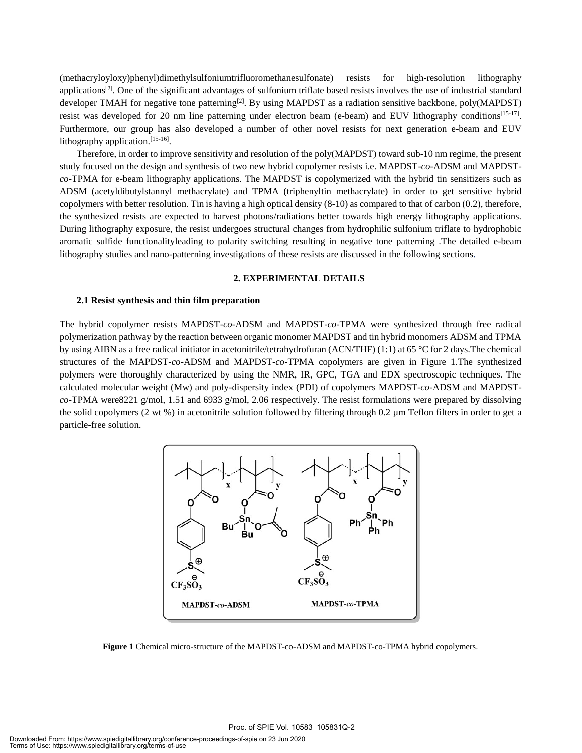(methacryloyloxy)phenyl)dimethylsulfoniumtrifluoromethanesulfonate) resists for high-resolution lithography applications<sup>[2]</sup>. One of the significant advantages of sulfonium triflate based resists involves the use of industrial standard developer TMAH for negative tone patterning<sup>[2]</sup>. By using MAPDST as a radiation sensitive backbone, poly(MAPDST) resist was developed for 20 nm line patterning under electron beam (e-beam) and EUV lithography conditions<sup>[15-17]</sup>. Furthermore, our group has also developed a number of other novel resists for next generation e-beam and EUV lithography application.<sup>[15-16]</sup>.

Therefore, in order to improve sensitivity and resolution of the poly(MAPDST) toward sub-10 nm regime, the present study focused on the design and synthesis of two new hybrid copolymer resists i.e. MAPDST-*co*-ADSM and MAPDST*co*-TPMA for e-beam lithography applications. The MAPDST is copolymerized with the hybrid tin sensitizers such as ADSM (acetyldibutylstannyl methacrylate) and TPMA (triphenyltin methacrylate) in order to get sensitive hybrid copolymers with better resolution. Tin is having a high optical density (8-10) as compared to that of carbon (0.2), therefore, the synthesized resists are expected to harvest photons/radiations better towards high energy lithography applications. During lithography exposure, the resist undergoes structural changes from hydrophilic sulfonium triflate to hydrophobic aromatic sulfide functionalityleading to polarity switching resulting in negative tone patterning .The detailed e-beam lithography studies and nano-patterning investigations of these resists are discussed in the following sections.

#### **2. EXPERIMENTAL DETAILS**

#### **2.1 Resist synthesis and thin film preparation**

The hybrid copolymer resists MAPDST-*co*-ADSM and MAPDST-*co*-TPMA were synthesized through free radical polymerization pathway by the reaction between organic monomer MAPDST and tin hybrid monomers ADSM and TPMA by using AIBN as a free radical initiator in acetonitrile/tetrahydrofuran (ACN/THF) (1:1) at 65 °C for 2 days.The chemical structures of the MAPDST*-co-*ADSM and MAPDST-*co*-TPMA copolymers are given in Figure 1.The synthesized polymers were thoroughly characterized by using the NMR, IR, GPC, TGA and EDX spectroscopic techniques. The calculated molecular weight (Mw) and poly-dispersity index (PDI) of copolymers MAPDST-*co*-ADSM and MAPDST*co*-TPMA were8221 g/mol, 1.51 and 6933 g/mol, 2.06 respectively. The resist formulations were prepared by dissolving the solid copolymers (2 wt %) in acetonitrile solution followed by filtering through 0.2 µm Teflon filters in order to get a particle-free solution.



**Figure 1** Chemical micro-structure of the MAPDST-co-ADSM and MAPDST-co-TPMA hybrid copolymers.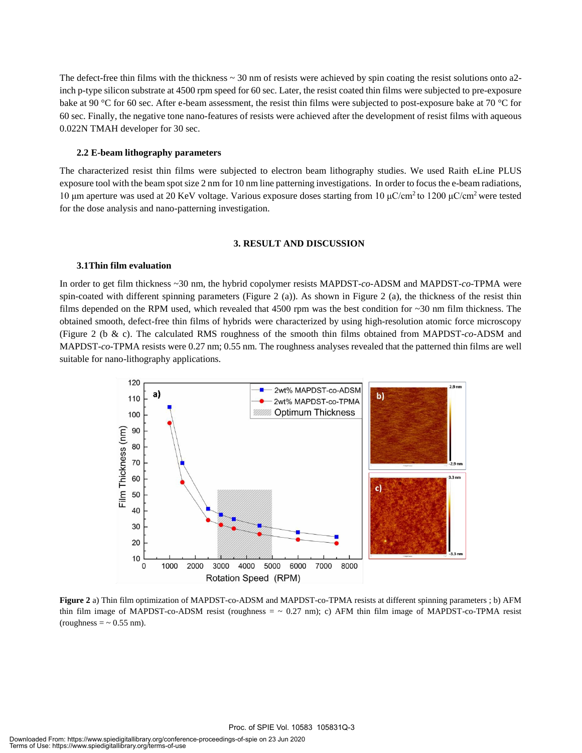The defect-free thin films with the thickness  $\sim$  30 nm of resists were achieved by spin coating the resist solutions onto a2inch p-type silicon substrate at 4500 rpm speed for 60 sec. Later, the resist coated thin films were subjected to pre-exposure bake at 90 °C for 60 sec. After e-beam assessment, the resist thin films were subjected to post-exposure bake at 70 °C for 60 sec. Finally, the negative tone nano-features of resists were achieved after the development of resist films with aqueous 0.022N TMAH developer for 30 sec.

#### **2.2 E-beam lithography parameters**

The characterized resist thin films were subjected to electron beam lithography studies. We used Raith eLine PLUS exposure tool with the beam spot size 2 nm for 10 nm line patterning investigations. In order to focus the e-beam radiations, 10 μm aperture was used at 20 KeV voltage. Various exposure doses starting from 10 μC/cm<sup>2</sup> to 1200 μC/cm<sup>2</sup> were tested for the dose analysis and nano-patterning investigation.

#### **3. RESULT AND DISCUSSION**

#### **3.1Thin film evaluation**

In order to get film thickness ~30 nm, the hybrid copolymer resists MAPDST-*co*-ADSM and MAPDST-*co*-TPMA were spin-coated with different spinning parameters (Figure 2 (a)). As shown in Figure 2 (a), the thickness of the resist thin films depended on the RPM used, which revealed that  $4500$  rpm was the best condition for  $\sim$ 30 nm film thickness. The obtained smooth, defect-free thin films of hybrids were characterized by using high-resolution atomic force microscopy (Figure 2 (b & c). The calculated RMS roughness of the smooth thin films obtained from MAPDST-*co*-ADSM and MAPDST-*co*-TPMA resists were 0.27 nm; 0.55 nm. The roughness analyses revealed that the patterned thin films are well suitable for nano-lithography applications.



**Figure 2** a) Thin film optimization of MAPDST-co-ADSM and MAPDST-co-TPMA resists at different spinning parameters ; b) AFM thin film image of MAPDST-co-ADSM resist (roughness  $=$   $\sim$  0.27 nm); c) AFM thin film image of MAPDST-co-TPMA resist (roughness  $=$   $\sim$  0.55 nm).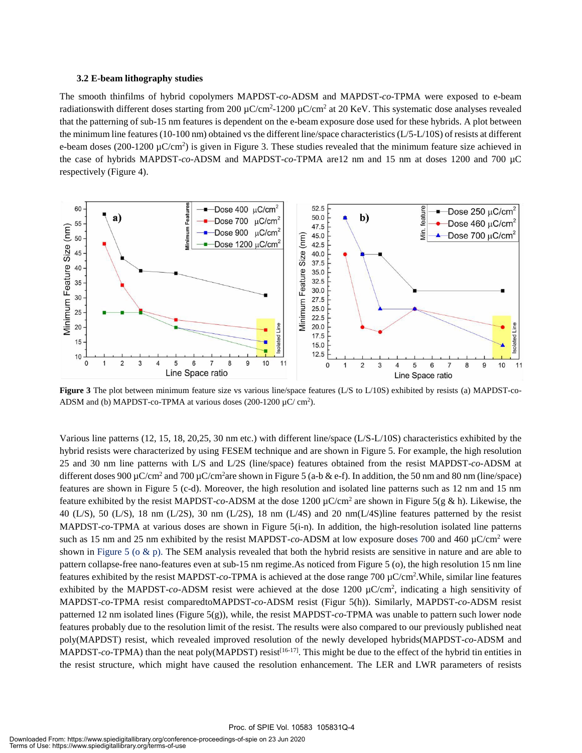#### **3.2 E-beam lithography studies**

The smooth thinfilms of hybrid copolymers MAPDST-*co*-ADSM and MAPDST-*co*-TPMA were exposed to e-beam radiationswith different doses starting from 200  $\mu$ C/cm<sup>2</sup>-1200  $\mu$ C/cm<sup>2</sup> at 20 KeV. This systematic dose analyses revealed that the patterning of sub-15 nm features is dependent on the e-beam exposure dose used for these hybrids. A plot between the minimum line features (10-100 nm) obtained vs the different line/space characteristics (L/5-L/10S) of resists at different e-beam doses (200-1200  $\mu$ C/cm<sup>2</sup>) is given in Figure 3. These studies revealed that the minimum feature size achieved in the case of hybrids MAPDST-*co*-ADSM and MAPDST-*co*-TPMA are12 nm and 15 nm at doses 1200 and 700 µC respectively (Figure 4).



**Figure 3** The plot between minimum feature size vs various line/space features (L/S to L/10S) exhibited by resists (a) MAPDST-co-ADSM and (b) MAPDST-co-TPMA at various doses  $(200-1200 \mu C/cm^2)$ .

Various line patterns (12, 15, 18, 20,25, 30 nm etc.) with different line/space (L/S-L/10S) characteristics exhibited by the hybrid resists were characterized by using FESEM technique and are shown in Figure 5. For example, the high resolution 25 and 30 nm line patterns with L/S and L/2S (line/space) features obtained from the resist MAPDST-*co*-ADSM at different doses 900 µC/cm<sup>2</sup> and 700 µC/cm<sup>2</sup>are shown in Figure 5 (a-b & e-f). In addition, the 50 nm and 80 nm (line/space) features are shown in Figure 5 (c-d). Moreover, the high resolution and isolated line patterns such as 12 nm and 15 nm feature exhibited by the resist MAPDST-*co*-ADSM at the dose 1200 µC/cm<sup>2</sup> are shown in Figure 5(g & h). Likewise, the 40 (L/S), 50 (L/S), 18 nm (L/2S), 30 nm (L/2S), 18 nm (L/4S) and 20 nm(L/4S)line features patterned by the resist MAPDST-*co*-TPMA at various doses are shown in Figure 5(i-n). In addition, the high-resolution isolated line patterns such as 15 nm and 25 nm exhibited by the resist MAPDST-*co*-ADSM at low exposure doses 700 and 460 µC/cm<sup>2</sup> were shown in Figure 5 ( $\alpha \& p$ ). The SEM analysis revealed that both the hybrid resists are sensitive in nature and are able to pattern collapse-free nano-features even at sub-15 nm regime.As noticed from Figure 5 (o), the high resolution 15 nm line features exhibited by the resist MAPDST-*co*-TPMA is achieved at the dose range 700 µC/cm<sup>2</sup> .While, similar line features exhibited by the MAPDST-co-ADSM resist were achieved at the dose 1200 µC/cm<sup>2</sup>, indicating a high sensitivity of MAPDST-*co*-TPMA resist comparedtoMAPDST-*co*-ADSM resist (Figur 5(h)). Similarly, MAPDST-*co*-ADSM resist patterned 12 nm isolated lines (Figure 5(g)), while, the resist MAPDST-*co*-TPMA was unable to pattern such lower node features probably due to the resolution limit of the resist. The results were also compared to our previously published neat poly(MAPDST) resist, which revealed improved resolution of the newly developed hybrids(MAPDST-*co*-ADSM and MAPDST- $co$ -TPMA) than the neat poly(MAPDST) resist<sup>[16-17]</sup>. This might be due to the effect of the hybrid tin entities in the resist structure, which might have caused the resolution enhancement. The LER and LWR parameters of resists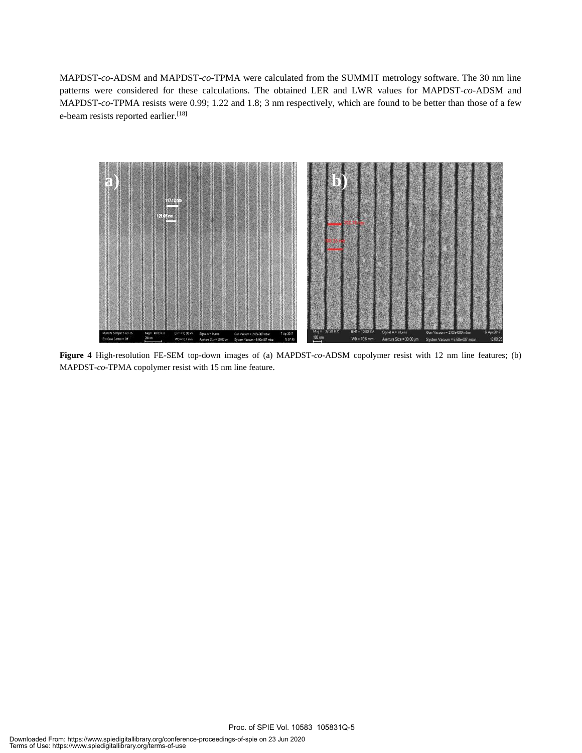MAPDST-*co*-ADSM and MAPDST-*co*-TPMA were calculated from the SUMMIT metrology software. The 30 nm line patterns were considered for these calculations. The obtained LER and LWR values for MAPDST-*co*-ADSM and MAPDST-*co*-TPMA resists were 0.99; 1.22 and 1.8; 3 nm respectively, which are found to be better than those of a few e-beam resists reported earlier.<sup>[18]</sup>



**Figure 4** High-resolution FE-SEM top-down images of (a) MAPDST-*co*-ADSM copolymer resist with 12 nm line features; (b) MAPDST-*co*-TPMA copolymer resist with 15 nm line feature.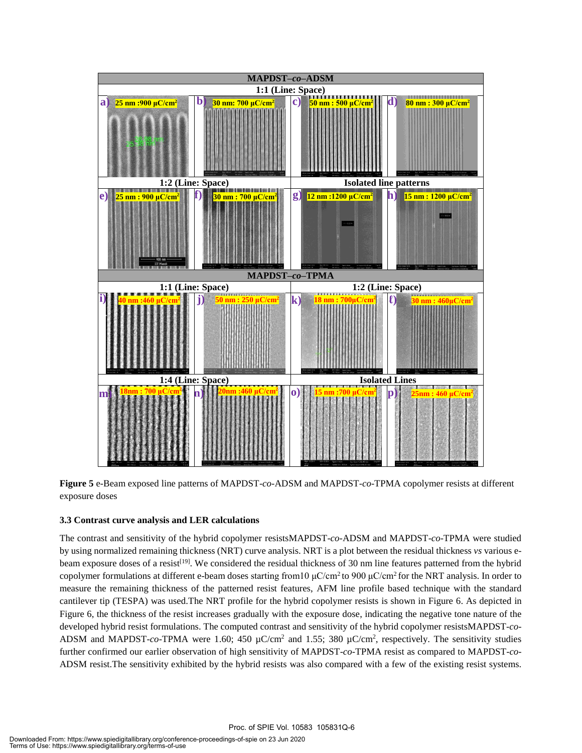

**Figure 5** e-Beam exposed line patterns of MAPDST-*co*-ADSM and MAPDST-*co*-TPMA copolymer resists at different exposure doses

#### **3.3 Contrast curve analysis and LER calculations**

The contrast and sensitivity of the hybrid copolymer resistsMAPDST-*co*-ADSM and MAPDST-*co*-TPMA were studied by using normalized remaining thickness (NRT) curve analysis. NRT is a plot between the residual thickness *vs* various ebeam exposure doses of a resist<sup>[19]</sup>. We considered the residual thickness of 30 nm line features patterned from the hybrid copolymer formulations at different e-beam doses starting from 10 μC/cm<sup>2</sup> to 900 μC/cm<sup>2</sup> for the NRT analysis. In order to measure the remaining thickness of the patterned resist features, AFM line profile based technique with the standard cantilever tip (TESPA) was used.The NRT profile for the hybrid copolymer resists is shown in Figure 6. As depicted in Figure 6, the thickness of the resist increases gradually with the exposure dose, indicating the negative tone nature of the developed hybrid resist formulations. The computed contrast and sensitivity of the hybrid copolymer resistsMAPDST-*co*-ADSM and MAPDST-co-TPMA were 1.60; 450  $\mu$ C/cm<sup>2</sup> and 1.55; 380  $\mu$ C/cm<sup>2</sup>, respectively. The sensitivity studies further confirmed our earlier observation of high sensitivity of MAPDST-*co*-TPMA resist as compared to MAPDST-*co*-ADSM resist.The sensitivity exhibited by the hybrid resists was also compared with a few of the existing resist systems.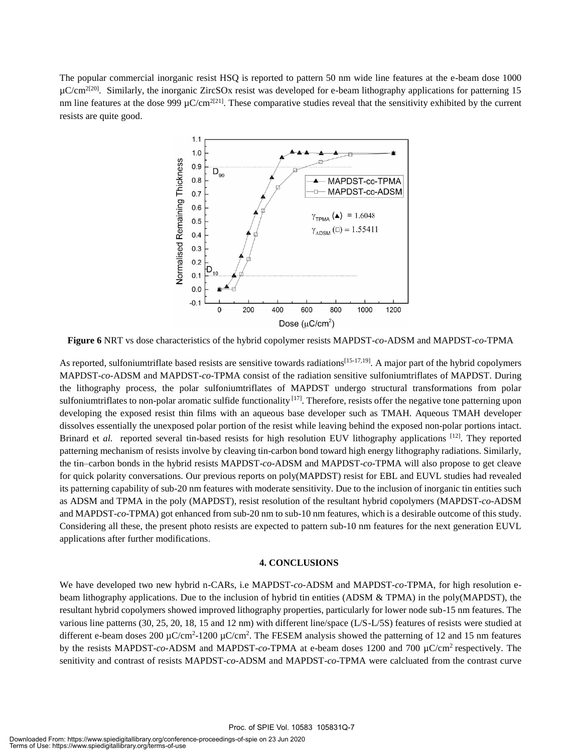The popular commercial inorganic resist HSQ is reported to pattern 50 nm wide line features at the e-beam dose 1000 µC/cm<sup>2[20]</sup>. Similarly, the inorganic ZircSOx resist was developed for e-beam lithography applications for patterning 15 nm line features at the dose  $999 \mu C/cm^{2[21]}$ . These comparative studies reveal that the sensitivity exhibited by the current resists are quite good.



**Figure 6** NRT vs dose characteristics of the hybrid copolymer resists MAPDST-*co*-ADSM and MAPDST-*co*-TPMA

As reported, sulfoniumtriflate based resists are sensitive towards radiations<sup>[15-17,19]</sup>. A major part of the hybrid copolymers MAPDST-*co*-ADSM and MAPDST-*co*-TPMA consist of the radiation sensitive sulfoniumtriflates of MAPDST. During the lithography process, the polar sulfoniumtriflates of MAPDST undergo structural transformations from polar sulfoniumtriflates to non-polar aromatic sulfide functionality  $[17]$ . Therefore, resists offer the negative tone patterning upon developing the exposed resist thin films with an aqueous base developer such as TMAH. Aqueous TMAH developer dissolves essentially the unexposed polar portion of the resist while leaving behind the exposed non-polar portions intact. Brinard et *al.* reported several tin-based resists for high resolution EUV lithography applications <sup>[12]</sup>. They reported patterning mechanism of resists involve by cleaving tin-carbon bond toward high energy lithography radiations. Similarly, the tin‒carbon bonds in the hybrid resists MAPDST-*co*-ADSM and MAPDST-*co*-TPMA will also propose to get cleave for quick polarity conversations. Our previous reports on poly(MAPDST) resist for EBL and EUVL studies had revealed its patterning capability of sub-20 nm features with moderate sensitivity. Due to the inclusion of inorganic tin entities such as ADSM and TPMA in the poly (MAPDST), resist resolution of the resultant hybrid copolymers (MAPDST-*co*-ADSM and MAPDST-*co*-TPMA) got enhanced from sub-20 nm to sub-10 nm features, which is a desirable outcome of this study. Considering all these, the present photo resists are expected to pattern sub-10 nm features for the next generation EUVL applications after further modifications.

#### **4. CONCLUSIONS**

We have developed two new hybrid n-CARs, i.e MAPDST-*co*-ADSM and MAPDST-*co*-TPMA, for high resolution ebeam lithography applications. Due to the inclusion of hybrid tin entities (ADSM & TPMA) in the poly(MAPDST), the resultant hybrid copolymers showed improved lithography properties, particularly for lower node sub-15 nm features. The various line patterns (30, 25, 20, 18, 15 and 12 nm) with different line/space (L/S-L/5S) features of resists were studied at different e-beam doses 200  $\mu$ C/cm<sup>2</sup>-1200  $\mu$ C/cm<sup>2</sup>. The FESEM analysis showed the patterning of 12 and 15 nm features by the resists MAPDST-*co*-ADSM and MAPDST-*co*-TPMA at e-beam doses 1200 and 700 µC/cm<sup>2</sup>respectively. The senitivity and contrast of resists MAPDST-*co*-ADSM and MAPDST-*co*-TPMA were calcluated from the contrast curve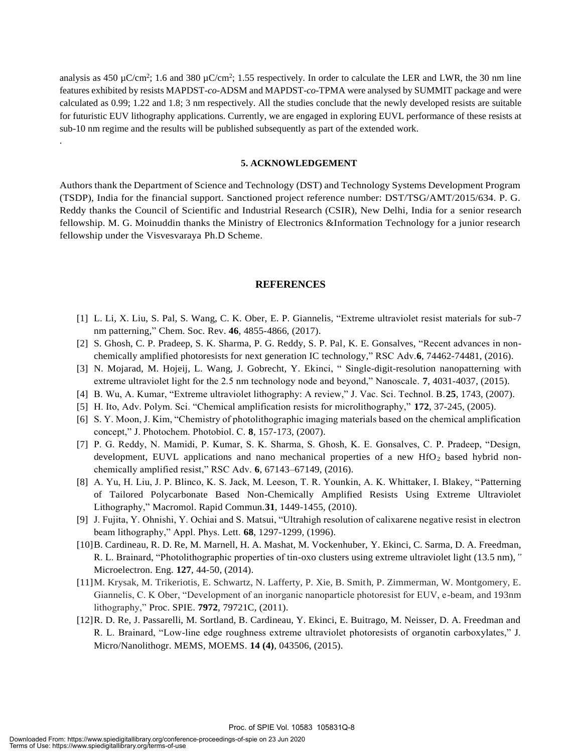analysis as 450  $\mu$ C/cm<sup>2</sup>; 1.6 and 380  $\mu$ C/cm<sup>2</sup>; 1.55 respectively. In order to calculate the LER and LWR, the 30 nm line features exhibited by resists MAPDST-*co*-ADSM and MAPDST-*co*-TPMA were analysed by SUMMIT package and were calculated as 0.99; 1.22 and 1.8; 3 nm respectively. All the studies conclude that the newly developed resists are suitable for futuristic EUV lithography applications. Currently, we are engaged in exploring EUVL performance of these resists at sub-10 nm regime and the results will be published subsequently as part of the extended work.

#### **5. ACKNOWLEDGEMENT**

Authors thank the Department of Science and Technology (DST) and Technology Systems Development Program (TSDP), India for the financial support. Sanctioned project reference number: DST/TSG/AMT/2015/634. P. G. Reddy thanks the Council of Scientific and Industrial Research (CSIR), New Delhi, India for a senior research fellowship. M. G. Moinuddin thanks the Ministry of Electronics &Information Technology for a junior research fellowship under the Visvesvaraya Ph.D Scheme.

#### **REFERENCES**

- [1] L. Li, X. Liu, S. Pal, S. Wang, C. K. Ober, E. P. Giannelis, "Extreme ultraviolet resist materials for sub-7 nm patterning," Chem. Soc. Rev. **46**, 4855-4866, (2017).
- [2] S. Ghosh, C. P. Pradeep, S. K. Sharma, P. G. Reddy, S. P. Pal, K. E. Gonsalves, "Recent advances in nonchemically amplified photoresists for next generation IC technology," RSC Adv.**6**, 74462-74481, (2016).
- [3] N. Mojarad, M. Hojeij, L. Wang, J. Gobrecht, Y. Ekinci, " Single-digit-resolution nanopatterning with extreme ultraviolet light for the 2.5 nm technology node and beyond," Nanoscale. **7**, 4031-4037, (2015).
- [4] B. Wu, A. Kumar, "Extreme ultraviolet lithography: A review," J. Vac. Sci. Technol. B.**25**, 1743, (2007).
- [5] H. Ito, Adv. Polym. Sci. "Chemical amplification resists for microlithography," **172**, 37-245, (2005).
- [6] S. Y. Moon, J. Kim, "Chemistry of photolithographic imaging materials based on the chemical amplification concept," J. Photochem. Photobiol. C. **8**, 157-173, (2007).
- [7] P. G. Reddy, N. Mamidi, P. Kumar, S. K. Sharma, S. Ghosh, K. E. Gonsalves, C. P. Pradeep, "Design, development, EUVL applications and nano mechanical properties of a new  $HfO<sub>2</sub>$  based hybrid nonchemically amplified resist," RSC Adv. **6**, 67143–67149, (2016).
- [8] A. Yu, H. Liu, J. P. Blinco, K. S. Jack, M. Leeson, T. R. Younkin, A. K. Whittaker, I. Blakey, "Patterning of Tailored Polycarbonate Based Non-Chemically Amplified Resists Using Extreme Ultraviolet Lithography," Macromol. Rapid Commun*.***31**, 1449-1455, (2010).
- [9] J. Fujita, Y. Ohnishi, Y. Ochiai and S. Matsui, "Ultrahigh resolution of calixarene negative resist in electron beam lithography," Appl. Phys. Lett. **68**, 1297-1299, (1996).
- [10]B. Cardineau, R. D. Re, M. Marnell, H. A. Mashat, M. Vockenhuber, Y. Ekinci, C. Sarma, D. A. Freedman, R. L. Brainard, "Photolithographic properties of tin-oxo clusters using extreme ultraviolet light (13.5 nm),*"* Microelectron. Eng. **127**, 44-50, (2014).
- [11]M. Krysak, M. Trikeriotis, E. Schwartz, N. Lafferty, P. Xie, B. Smith, P. Zimmerman, W. Montgomery, E. Giannelis, C. K Ober, "Development of an inorganic nanoparticle photoresist for EUV, e-beam, and 193nm lithography," Proc. SPIE. **7972**, 79721C, (2011).
- [12]R. D. Re, J. Passarelli, M. Sortland, B. Cardineau, Y. Ekinci, E. Buitrago, M. Neisser, D. A. Freedman and R. L. Brainard, "Low-line edge roughness extreme ultraviolet photoresists of organotin carboxylates," J. Micro/Nanolithogr. MEMS, MOEMS. **14 (4)**, 043506, (2015).

.